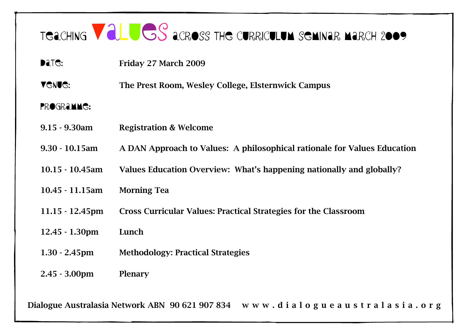## TGACHING VALUGS ACROSS THE CURRICULUM SEMINAR MARCH 2009

- **Date:** Friday 27 March 2009
- **VGNUG:** The Prest Room, Wesley College, Elsternwick Campus

## PROGRAMMG:

- 9.15 9.30am Registration & Welcome
- 9.30 10.15am A DAN Approach to Values: A philosophical rationale for Values Education
- 10.15 10.45am Values Education Overview: What's happening nationally and globally?
- 10.45 11.15am Morning Tea
- 11.15 12.45pm Cross Curricular Values: Practical Strategies for the Classroom
- 12.45 1.30pm Lunch
- 1.30 2.45pm Methodology: Practical Strategies
- 2.45 3.00pm Plenary

Dialogue Australasia Network ABN 90621907834 www.dialogueaustralasia.org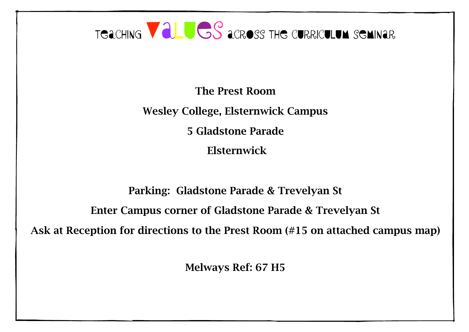

Elsternwick

Parking: Gladstone Parade & Trevelyan St Enter Campus corner of Gladstone Parade & Trevelyan St Ask at Reception for directions to the Prest Room (#15 on attached campus map)

Melways Ref: 67 H5